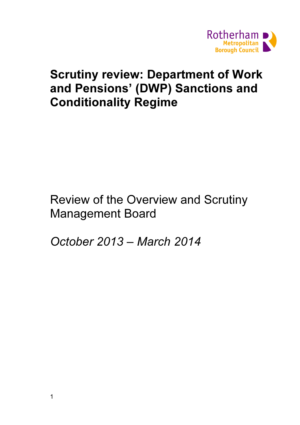

# Scrutiny review: Department of Work and Pensions' (DWP) Sanctions and Conditionality Regime

Review of the Overview and Scrutiny Management Board

October 2013 – March 2014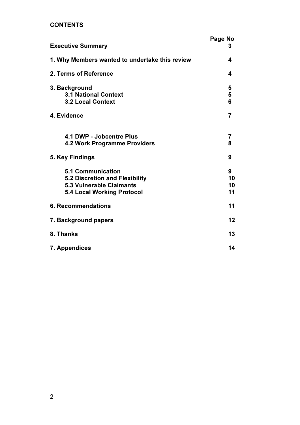# **CONTENTS**

| <b>Executive Summary</b>                                                                                                    | Page No<br>3        |
|-----------------------------------------------------------------------------------------------------------------------------|---------------------|
| 1. Why Members wanted to undertake this review                                                                              | 4                   |
| 2. Terms of Reference                                                                                                       | 4                   |
| 3. Background<br><b>3.1 National Context</b><br><b>3.2 Local Context</b>                                                    | 5<br>5<br>6         |
| 4. Evidence                                                                                                                 | 7                   |
| 4.1 DWP - Jobcentre Plus<br><b>4.2 Work Programme Providers</b>                                                             | 7<br>8              |
| 5. Key Findings                                                                                                             | 9                   |
| <b>5.1 Communication</b><br>5.2 Discretion and Flexibility<br><b>5.3 Vulnerable Claimants</b><br>5.4 Local Working Protocol | 9<br>10<br>10<br>11 |
| <b>6. Recommendations</b>                                                                                                   | 11                  |
| 7. Background papers                                                                                                        | 12                  |
| 8. Thanks                                                                                                                   | 13                  |
| 7. Appendices                                                                                                               | 14                  |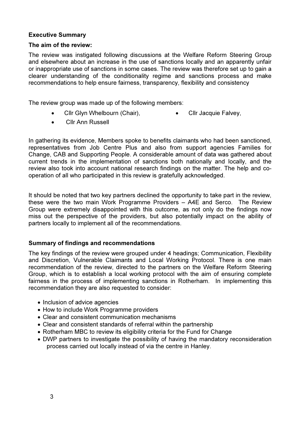## Executive Summary

## The aim of the review:

The review was instigated following discussions at the Welfare Reform Steering Group and elsewhere about an increase in the use of sanctions locally and an apparently unfair or inappropriate use of sanctions in some cases. The review was therefore set up to gain a clearer understanding of the conditionality regime and sanctions process and make recommendations to help ensure fairness, transparency, flexibility and consistency

The review group was made up of the following members:

- Cllr Glyn Whelbourn (Chair), • Cllr Jacquie Falvey,
- Cllr Ann Russell

In gathering its evidence, Members spoke to benefits claimants who had been sanctioned, representatives from Job Centre Plus and also from support agencies Families for Change, CAB and Supporting People. A considerable amount of data was gathered about current trends in the implementation of sanctions both nationally and locally, and the review also took into account national research findings on the matter. The help and cooperation of all who participated in this review is gratefully acknowledged.

It should be noted that two key partners declined the opportunity to take part in the review, these were the two main Work Programme Providers – A4E and Serco. The Review Group were extremely disappointed with this outcome, as not only do the findings now miss out the perspective of the providers, but also potentially impact on the ability of partners locally to implement all of the recommendations.

## Summary of findings and recommendations

The key findings of the review were grouped under 4 headings; Communication, Flexibility and Discretion, Vulnerable Claimants and Local Working Protocol. There is one main recommendation of the review, directed to the partners on the Welfare Reform Steering Group, which is to establish a local working protocol with the aim of ensuring complete fairness in the process of implementing sanctions in Rotherham. In implementing this recommendation they are also requested to consider:

- Inclusion of advice agencies
- How to include Work Programme providers
- Clear and consistent communication mechanisms
- Clear and consistent standards of referral within the partnership
- Rotherham MBC to review its eligibility criteria for the Fund for Change
- DWP partners to investigate the possibility of having the mandatory reconsideration process carried out locally instead of via the centre in Hanley.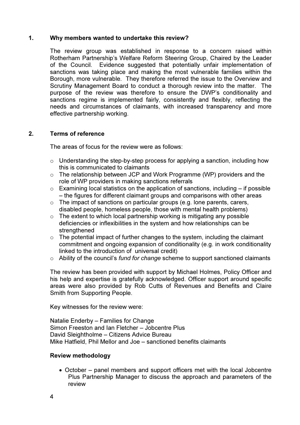### 1. Why members wanted to undertake this review?

The review group was established in response to a concern raised within Rotherham Partnership's Welfare Reform Steering Group, Chaired by the Leader of the Council. Evidence suggested that potentially unfair implementation of sanctions was taking place and making the most vulnerable families within the Borough, more vulnerable. They therefore referred the issue to the Overview and Scrutiny Management Board to conduct a thorough review into the matter. The purpose of the review was therefore to ensure the DWP's conditionality and sanctions regime is implemented fairly, consistently and flexibly, reflecting the needs and circumstances of claimants, with increased transparency and more effective partnership working.

## 2. Terms of reference

The areas of focus for the review were as follows:

- o Understanding the step-by-step process for applying a sanction, including how this is communicated to claimants
- o The relationship between JCP and Work Programme (WP) providers and the role of WP providers in making sanctions referrals
- $\circ$  Examining local statistics on the application of sanctions, including if possible – the figures for different claimant groups and comparisons with other areas
- $\circ$  The impact of sanctions on particular groups (e.g. lone parents, carers, disabled people, homeless people, those with mental health problems)
- $\circ$  The extent to which local partnership working is mitigating any possible deficiencies or inflexibilities in the system and how relationships can be strengthened
- $\circ$  The potential impact of further changes to the system, including the claimant commitment and ongoing expansion of conditionality (e.g. in work conditionality linked to the introduction of universal credit)
- o Ability of the council's *fund for change* scheme to support sanctioned claimants

The review has been provided with support by Michael Holmes, Policy Officer and his help and expertise is gratefully acknowledged. Officer support around specific areas were also provided by Rob Cutts of Revenues and Benefits and Claire Smith from Supporting People.

Key witnesses for the review were:

Natalie Enderby – Families for Change Simon Freeston and Ian Fletcher – Jobcentre Plus David Sleightholme – Citizens Advice Bureau Mike Hatfield, Phil Mellor and Joe – sanctioned benefits claimants

## Review methodology

• October – panel members and support officers met with the local Jobcentre Plus Partnership Manager to discuss the approach and parameters of the review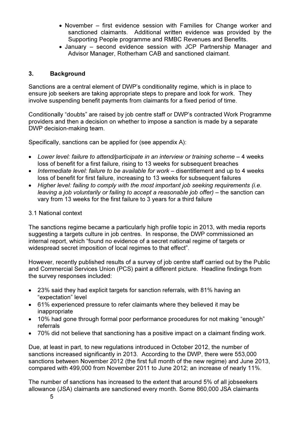- November first evidence session with Families for Change worker and sanctioned claimants. Additional written evidence was provided by the Supporting People programme and RMBC Revenues and Benefits.
- January second evidence session with JCP Partnership Manager and Advisor Manager, Rotherham CAB and sanctioned claimant.

## 3. Background

Sanctions are a central element of DWP's conditionality regime, which is in place to ensure job seekers are taking appropriate steps to prepare and look for work. They involve suspending benefit payments from claimants for a fixed period of time.

Conditionally "doubts" are raised by job centre staff or DWP's contracted Work Programme providers and then a decision on whether to impose a sanction is made by a separate DWP decision-making team.

Specifically, sanctions can be applied for (see appendix A):

- Lower level: failure to attend/participate in an interview or training scheme 4 weeks loss of benefit for a first failure, rising to 13 weeks for subsequent breaches
- *Intermediate level: failure to be available for work* disentitlement and up to 4 weeks loss of benefit for first failure, increasing to 13 weeks for subsequent failures
- *Higher level: failing to comply with the most important job seeking requirements (i.e. leaving a job voluntarily or failing to accept a reasonable job offer)* – the sanction can vary from 13 weeks for the first failure to 3 years for a third failure

## 3.1 National context

The sanctions regime became a particularly high profile topic in 2013, with media reports suggesting a targets culture in job centres. In response, the DWP commissioned an internal report, which "found no evidence of a secret national regime of targets or widespread secret imposition of local regimes to that effect".

However, recently published results of a survey of job centre staff carried out by the Public and Commercial Services Union (PCS) paint a different picture. Headline findings from the survey responses included:

- 23% said they had explicit targets for sanction referrals, with 81% having an "expectation" level
- 61% experienced pressure to refer claimants where they believed it may be inappropriate
- 10% had gone through formal poor performance procedures for not making "enough" referrals
- 70% did not believe that sanctioning has a positive impact on a claimant finding work.

Due, at least in part, to new regulations introduced in October 2012, the number of sanctions increased significantly in 2013. According to the DWP, there were 553,000 sanctions between November 2012 (the first full month of the new regime) and June 2013, compared with 499,000 from November 2011 to June 2012; an increase of nearly 11%.

The number of sanctions has increased to the extent that around 5% of all jobseekers allowance (JSA) claimants are sanctioned every month. Some 860,000 JSA claimants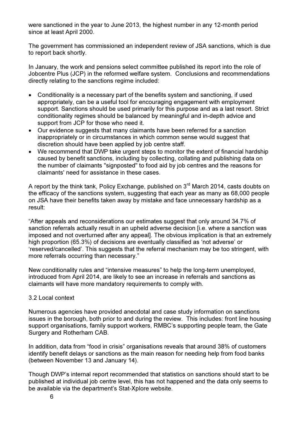were sanctioned in the year to June 2013, the highest number in any 12-month period since at least April 2000.

The government has commissioned an independent review of JSA sanctions, which is due to report back shortly.

In January, the work and pensions select committee published its report into the role of Jobcentre Plus (JCP) in the reformed welfare system. Conclusions and recommendations directly relating to the sanctions regime included:

- Conditionality is a necessary part of the benefits system and sanctioning, if used appropriately, can be a useful tool for encouraging engagement with employment support. Sanctions should be used primarily for this purpose and as a last resort. Strict conditionality regimes should be balanced by meaningful and in-depth advice and support from JCP for those who need it.
- Our evidence suggests that many claimants have been referred for a sanction inappropriately or in circumstances in which common sense would suggest that discretion should have been applied by job centre staff.
- We recommend that DWP take urgent steps to monitor the extent of financial hardship caused by benefit sanctions, including by collecting, collating and publishing data on the number of claimants "signposted" to food aid by job centres and the reasons for claimants' need for assistance in these cases.

A report by the think tank, Policy Exchange, published on 3<sup>rd</sup> March 2014, casts doubts on the efficacy of the sanctions system, suggesting that each year as many as 68,000 people on JSA have their benefits taken away by mistake and face unnecessary hardship as a result:

"After appeals and reconsiderations our estimates suggest that only around 34.7% of sanction referrals actually result in an upheld adverse decision [i.e. where a sanction was imposed and not overturned after any appeal]. The obvious implication is that an extremely high proportion (65.3%) of decisions are eventually classified as 'not adverse' or 'reserved/cancelled'. This suggests that the referral mechanism may be too stringent, with more referrals occurring than necessary."

New conditionality rules and "intensive measures" to help the long-term unemployed, introduced from April 2014, are likely to see an increase in referrals and sanctions as claimants will have more mandatory requirements to comply with.

# 3.2 Local context

Numerous agencies have provided anecdotal and case study information on sanctions issues in the borough, both prior to and during the review. This includes: front line housing support organisations, family support workers, RMBC's supporting people team, the Gate Surgery and Rotherham CAB.

In addition, data from "food in crisis" organisations reveals that around 38% of customers identify benefit delays or sanctions as the main reason for needing help from food banks (between November 13 and January 14).

Though DWP's internal report recommended that statistics on sanctions should start to be published at individual job centre level, this has not happened and the data only seems to be available via the department's Stat-Xplore website.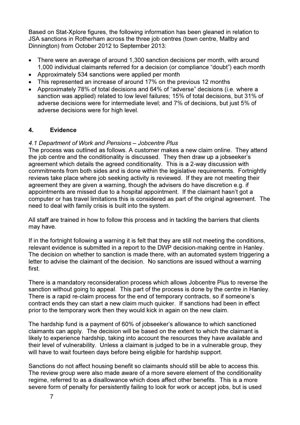Based on Stat-Xplore figures, the following information has been gleaned in relation to JSA sanctions in Rotherham across the three job centres (town centre, Maltby and Dinnington) from October 2012 to September 2013:

- There were an average of around 1,300 sanction decisions per month, with around 1,000 individual claimants referred for a decision (or compliance "doubt") each month
- Approximately 534 sanctions were applied per month
- This represented an increase of around 17% on the previous 12 months
- Approximately 78% of total decisions and 64% of "adverse" decisions (i.e. where a sanction was applied) related to low level failures; 15% of total decisions, but 31% of adverse decisions were for intermediate level; and 7% of decisions, but just 5% of adverse decisions were for high level.

# 4. Evidence

# *4.1 Department of Work and Pensions – Jobcentre Plus*

The process was outlined as follows. A customer makes a new claim online. They attend the job centre and the conditionality is discussed. They then draw up a jobseeker's agreement which details the agreed conditionality. This is a 2-way discussion with commitments from both sides and is done within the legislative requirements. Fortnightly reviews take place where job seeking activity is reviewed. If they are not meeting their agreement they are given a warning, though the advisers do have discretion e.g. if appointments are missed due to a hospital appointment. If the claimant hasn't got a computer or has travel limitations this is considered as part of the original agreement. The need to deal with family crisis is built into the system.

All staff are trained in how to follow this process and in tackling the barriers that clients may have.

If in the fortnight following a warning it is felt that they are still not meeting the conditions, relevant evidence is submitted in a report to the DWP decision-making centre in Hanley. The decision on whether to sanction is made there, with an automated system triggering a letter to advise the claimant of the decision. No sanctions are issued without a warning first.

There is a mandatory reconsideration process which allows Jobcentre Plus to reverse the sanction without going to appeal. This part of the process is done by the centre in Hanley. There is a rapid re-claim process for the end of temporary contracts, so if someone's contract ends they can start a new claim much quicker. If sanctions had been in effect prior to the temporary work then they would kick in again on the new claim.

The hardship fund is a payment of 60% of jobseeker's allowance to which sanctioned claimants can apply. The decision will be based on the extent to which the claimant is likely to experience hardship, taking into account the resources they have available and their level of vulnerability. Unless a claimant is judged to be in a vulnerable group, they will have to wait fourteen days before being eligible for hardship support.

Sanctions do not affect housing benefit so claimants should still be able to access this. The review group were also made aware of a more severe element of the conditionality regime, referred to as a disallowance which does affect other benefits. This is a more severe form of penalty for persistently failing to look for work or accept jobs, but is used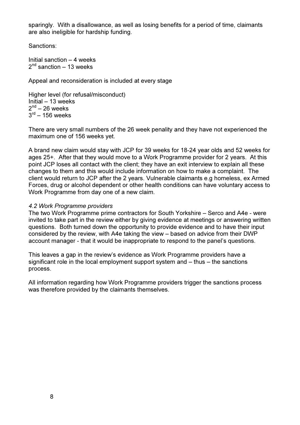sparingly. With a disallowance, as well as losing benefits for a period of time, claimants are also ineligible for hardship funding.

Sanctions:

Initial sanction – 4 weeks 2<sup>nd</sup> sanction – 13 weeks

Appeal and reconsideration is included at every stage

Higher level (for refusal/misconduct) Initial – 13 weeks  $2<sup>nd</sup> - 26$  weeks  $3^{\text{rd}}$  – 156 weeks

There are very small numbers of the 26 week penality and they have not experienced the maximum one of 156 weeks yet.

A brand new claim would stay with JCP for 39 weeks for 18-24 year olds and 52 weeks for ages 25+. After that they would move to a Work Programme provider for 2 years. At this point JCP loses all contact with the client; they have an exit interview to explain all these changes to them and this would include information on how to make a complaint. The client would return to JCP after the 2 years. Vulnerable claimants e.g homeless, ex Armed Forces, drug or alcohol dependent or other health conditions can have voluntary access to Work Programme from day one of a new claim.

#### *4.2 Work Programme providers*

The two Work Programme prime contractors for South Yorkshire – Serco and A4e - were invited to take part in the review either by giving evidence at meetings or answering written questions. Both turned down the opportunity to provide evidence and to have their input considered by the review, with A4e taking the view – based on advice from their DWP account manager - that it would be inappropriate to respond to the panel's questions.

This leaves a gap in the review's evidence as Work Programme providers have a significant role in the local employment support system and – thus – the sanctions process.

All information regarding how Work Programme providers trigger the sanctions process was therefore provided by the claimants themselves.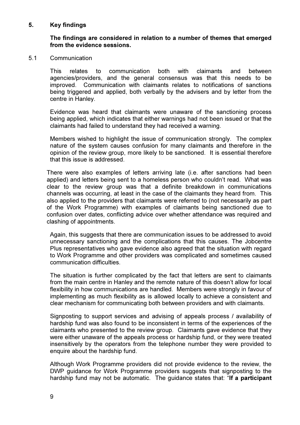### 5. Key findings

### The findings are considered in relation to a number of themes that emerged from the evidence sessions.

#### 5.1 Communication

This relates to communication both with claimants and between agencies/providers, and the general consensus was that this needs to be improved. Communication with claimants relates to notifications of sanctions being triggered and applied, both verbally by the advisers and by letter from the centre in Hanley.

Evidence was heard that claimants were unaware of the sanctioning process being applied, which indicates that either warnings had not been issued or that the claimants had failed to understand they had received a warning.

Members wished to highlight the issue of communication strongly. The complex nature of the system causes confusion for many claimants and therefore in the opinion of the review group, more likely to be sanctioned. It is essential therefore that this issue is addressed.

There were also examples of letters arriving late (i.e. after sanctions had been applied) and letters being sent to a homeless person who couldn't read. What was clear to the review group was that a definite breakdown in communications channels was occurring, at least in the case of the claimants they heard from. This also applied to the providers that claimants were referred to (not necessarily as part of the Work Programme) with examples of claimants being sanctioned due to confusion over dates, conflicting advice over whether attendance was required and clashing of appointments.

Again, this suggests that there are communication issues to be addressed to avoid unnecessary sanctioning and the complications that this causes. The Jobcentre Plus representatives who gave evidence also agreed that the situation with regard to Work Programme and other providers was complicated and sometimes caused communication difficulties.

The situation is further complicated by the fact that letters are sent to claimants from the main centre in Hanley and the remote nature of this doesn't allow for local flexibility in how communications are handled. Members were strongly in favour of implementing as much flexibility as is allowed locally to achieve a consistent and clear mechanism for communicating both between providers and with claimants.

Signposting to support services and advising of appeals process / availability of hardship fund was also found to be inconsistent in terms of the experiences of the claimants who presented to the review group. Claimants gave evidence that they were either unaware of the appeals process or hardship fund, or they were treated insensitively by the operators from the telephone number they were provided to enquire about the hardship fund.

Although Work Programme providers did not provide evidence to the review, the DWP guidance for Work Programme providers suggests that signposting to the hardship fund may not be automatic. The guidance states that: "If a participant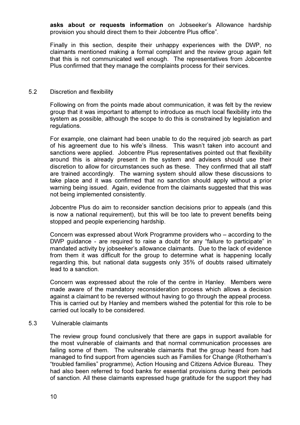asks about or requests information on Jobseeker's Allowance hardship provision you should direct them to their Jobcentre Plus office".

Finally in this section, despite their unhappy experiences with the DWP, no claimants mentioned making a formal complaint and the review group again felt that this is not communicated well enough. The representatives from Jobcentre Plus confirmed that they manage the complaints process for their services.

#### 5.2 Discretion and flexibility

Following on from the points made about communication, it was felt by the review group that it was important to attempt to introduce as much local flexibility into the system as possible, although the scope to do this is constrained by legislation and regulations.

For example, one claimant had been unable to do the required job search as part of his agreement due to his wife's illness. This wasn't taken into account and sanctions were applied. Jobcentre Plus representatives pointed out that flexibility around this is already present in the system and advisers should use their discretion to allow for circumstances such as these. They confirmed that all staff are trained accordingly. The warning system should allow these discussions to take place and it was confirmed that no sanction should apply without a prior warning being issued. Again, evidence from the claimants suggested that this was not being implemented consistently.

Jobcentre Plus do aim to reconsider sanction decisions prior to appeals (and this is now a national requirement), but this will be too late to prevent benefits being stopped and people experiencing hardship.

Concern was expressed about Work Programme providers who – according to the DWP guidance - are required to raise a doubt for any "failure to participate" in mandated activity by jobseeker's allowance claimants. Due to the lack of evidence from them it was difficult for the group to determine what is happening locally regarding this, but national data suggests only 35% of doubts raised ultimately lead to a sanction.

Concern was expressed about the role of the centre in Hanley. Members were made aware of the mandatory reconsideration process which allows a decision against a claimant to be reversed without having to go through the appeal process. This is carried out by Hanley and members wished the potential for this role to be carried out locally to be considered.

#### 5.3 Vulnerable claimants

The review group found conclusively that there are gaps in support available for the most vulnerable of claimants and that normal communication processes are failing some of them. The vulnerable claimants that the group heard from had managed to find support from agencies such as Families for Change (Rotherham's "troubled families" programme), Action Housing and Citizens Advice Bureau. They had also been referred to food banks for essential provisions during their periods of sanction. All these claimants expressed huge gratitude for the support they had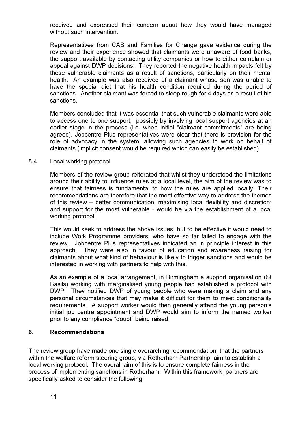received and expressed their concern about how they would have managed without such intervention.

Representatives from CAB and Families for Change gave evidence during the review and their experience showed that claimants were unaware of food banks, the support available by contacting utility companies or how to either complain or appeal against DWP decisions. They reported the negative health impacts felt by these vulnerable claimants as a result of sanctions, particularly on their mental health. An example was also received of a claimant whose son was unable to have the special diet that his health condition required during the period of sanctions. Another claimant was forced to sleep rough for 4 days as a result of his sanctions.

Members concluded that it was essential that such vulnerable claimants were able to access one to one support, possibly by involving local support agencies at an earlier stage in the process (i.e. when initial "claimant commitments" are being agreed). Jobcentre Plus representatives were clear that there is provision for the role of advocacy in the system, allowing such agencies to work on behalf of claimants (implicit consent would be required which can easily be established).

#### 5.4 Local working protocol

Members of the review group reiterated that whilst they understood the limitations around their ability to influence rules at a local level, the aim of the review was to ensure that fairness is fundamental to how the rules are applied locally. Their recommendations are therefore that the most effective way to address the themes of this review – better communication; maximising local flexibility and discretion; and support for the most vulnerable - would be via the establishment of a local working protocol.

This would seek to address the above issues, but to be effective it would need to include Work Programme providers, who have so far failed to engage with the review. Jobcentre Plus representatives indicated an in principle interest in this approach. They were also in favour of education and awareness raising for claimants about what kind of behaviour is likely to trigger sanctions and would be interested in working with partners to help with this.

As an example of a local arrangement, in Birmingham a support organisation (St Basils) working with marginalised young people had established a protocol with DWP. They notified DWP of young people who were making a claim and any personal circumstances that may make it difficult for them to meet conditionality requirements. A support worker would then generally attend the young person's initial job centre appointment and DWP would aim to inform the named worker prior to any compliance "doubt" being raised.

## 6. Recommendations

The review group have made one single overarching recommendation: that the partners within the welfare reform steering group, via Rotherham Partnership, aim to establish a local working protocol. The overall aim of this is to ensure complete fairness in the process of implementing sanctions in Rotherham. Within this framework, partners are specifically asked to consider the following: